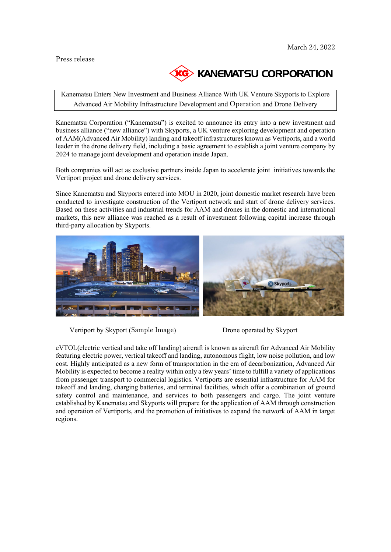## Press release



Kanematsu Enters New Investment and Business Alliance With UK Venture Skyports to Explore Advanced Air Mobility Infrastructure Development and Operation and Drone Delivery

Kanematsu Corporation ("Kanematsu") is excited to announce its entry into a new investment and business alliance ("new alliance") with Skyports, a UK venture exploring development and operation of AAM(Advanced Air Mobility) landing and takeoff infrastructures known as Vertiports, and a world leader in the drone delivery field, including a basic agreement to establish a joint venture company by 2024 to manage joint development and operation inside Japan.

Both companies will act as exclusive partners inside Japan to accelerate joint initiatives towards the Vertiport project and drone delivery services.

Since Kanematsu and Skyports entered into MOU in 2020, joint domestic market research have been conducted to investigate construction of the Vertiport network and start of drone delivery services. Based on these activities and industrial trends for AAM and drones in the domestic and international markets, this new alliance was reached as a result of investment following capital increase through third-party allocation by Skyports.



Vertiport by Skyport (Sample Image) Drone operated by Skyport

eVTOL(electric vertical and take off landing) aircraft is known as aircraft for Advanced Air Mobility featuring electric power, vertical takeoff and landing, autonomous flight, low noise pollution, and low cost. Highly anticipated as a new form of transportation in the era of decarbonization, Advanced Air Mobility is expected to become a reality within only a few years' time to fulfill a variety of applications from passenger transport to commercial logistics. Vertiports are essential infrastructure for AAM for takeoff and landing, charging batteries, and terminal facilities, which offer a combination of ground safety control and maintenance, and services to both passengers and cargo. The joint venture established by Kanematsu and Skyports will prepare for the application of AAM through construction and operation of Vertiports, and the promotion of initiatives to expand the network of AAM in target regions.